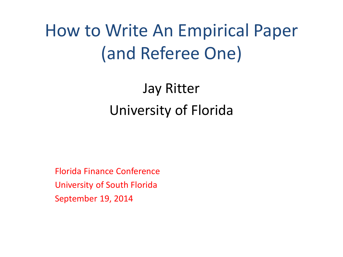# How to Write An Empirical Paper (and Referee One)

# Jay Ritter University of Florida

Florida Finance Conference University of South Florida September 19, 2014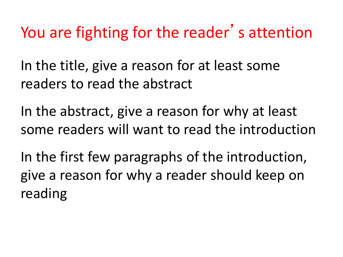You are fighting for the reader's attention

In the title, give a reason for at least some readers to read the abstract

In the abstract, give a reason for why at least some readers will want to read the introduction

In the first few paragraphs of the introduction, give a reason for why a reader should keep on reading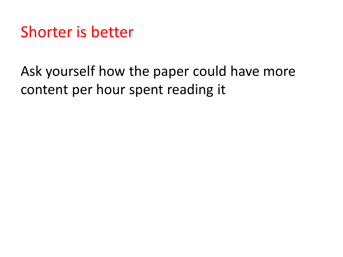Shorter is better

## Ask yourself how the paper could have more content per hour spent reading it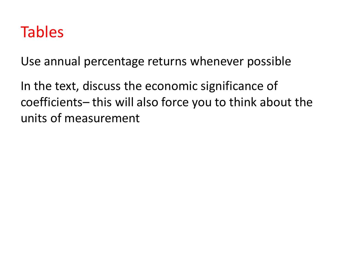## Tables

Use annual percentage returns whenever possible

In the text, discuss the economic significance of coefficients– this will also force you to think about the units of measurement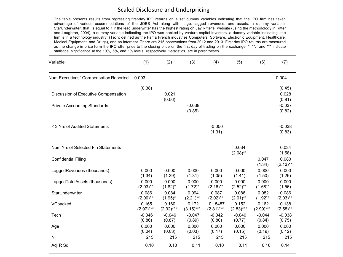#### Scaled Disclosure and Underpricing

The table presents results from regressing first-day IPO returns on a set dummy variables indicating that the IPO firm has taken advantage of various accommodations of the JOBS Act along with age, lagged revenues, and assets, a dummy variable, StarUnderwriter, that is equal to 1 if the lead underwriter has the highest rating on Jay Ritter's website (using the methodology in Ritter and Loughran, 2004), a dummy variable indicating the IPO was backed by venture capital investors, a dummy variable indicating the firm is in a technology industry (Tech: defined as the Fama French industries Computers, Software, Electronic Equipment, Healthcare, Medical Equipment, and Drugs), and an intercept. There are 215 observations from 2012 and 2013. First day IPO returns are measured as the change in price form the IPO offer price to the closing price on the first day of trading on the exchange. \*, \*\*, and \*\*\* indicate statistical significance at the 10%, 5%, and 1% levels, respectively. t-statistics are in parentheses.

| Variable:                                                                   | (1)                  | (2)                  | (3)                  | (4)                    | (5)                  | (6)                   | (7)                                   |
|-----------------------------------------------------------------------------|----------------------|----------------------|----------------------|------------------------|----------------------|-----------------------|---------------------------------------|
| Num Executives' Compensation Reported                                       | 0.003                |                      |                      |                        |                      |                       | $-0.004$                              |
| Discussion of Executive Compensation<br><b>Private Accounting Standards</b> | (0.38)               | 0.021<br>(0.56)      | $-0.038$             |                        |                      |                       | (0.45)<br>0.028<br>(0.81)<br>$-0.037$ |
|                                                                             |                      |                      | (0.85)               |                        |                      |                       | (0.82)                                |
| < 3 Yrs of Audited Statements                                               |                      |                      |                      | $-0.050$<br>(1.31)     |                      |                       | $-0.038$<br>(0.83)                    |
| Num Yrs of Selected Fin Statements                                          |                      |                      |                      |                        | 0.034<br>$(2.08)$ ** |                       | 0.034<br>(1.58)                       |
| <b>Confidential Filing</b>                                                  |                      |                      |                      |                        |                      | 0.047<br>(1.34)       | 0.080<br>$(2.13)$ **                  |
| LaggedRevenues (thousands)                                                  | 0.000<br>(1.34)      | 0.000<br>(1.29)      | 0.000<br>(1.31)      | 0.000<br>(1.05)        | 0.000<br>(1.41)      | 0.000<br>(1.50)       | 0.000<br>(1.26)                       |
| LaggedTotalAssets (thousands)                                               | 0.000<br>$(2.03)$ ** | 0.000<br>$(1.82)^*$  | 0.000<br>$(1.72)^*$  | 0.000<br>$(2.16)$ **   | 0.000<br>$(2.52)$ ** | 0.000<br>$(1.68)^*$   | 0.000<br>(1.56)                       |
| StarUnderwriter                                                             | 0.086<br>$(2.00)$ ** | 0.084<br>$(1.95)^*$  | 0.094<br>$(2.21)$ ** | 0.087<br>$(2.02)$ **   | 0.086<br>$(2.01)$ ** | 0.082<br>$(1.92)^{*}$ | 0.086<br>$(2.03)$ **                  |
| VCbacked                                                                    | 0.165<br>$(2.97)***$ | 0.160<br>$(2.92)***$ | 0.172<br>$(3.15)***$ | 0.15487<br>$(2.81)***$ | 0.152<br>$(2.83)***$ | 0.162<br>$(2.99)***$  | 0.138<br>$(2.58)$ **                  |
| Tech                                                                        | $-0.046$<br>(0.86)   | $-0.046$<br>(0.87)   | $-0.047$<br>(0.89)   | $-0.042$<br>(0.80)     | $-0.040$<br>(0.77)   | $-0.044$<br>(0.84)    | $-0.038$<br>(0.75)                    |
| Age                                                                         | 0.000<br>(0.04)      | 0.000<br>(0.03)      | 0.000<br>(0.03)      | 0.000<br>(0.17)        | 0.000<br>(0.15)      | 0.000<br>(0.19)       | 0.000<br>(0.12)                       |
| N                                                                           | 215                  | 215                  | 215                  | 215                    | 215                  | 215                   | 215                                   |
| Adj R Sq                                                                    | 0.10                 | 0.10                 | 0.11                 | 0.10                   | 0.11                 | 0.10                  | 0.14                                  |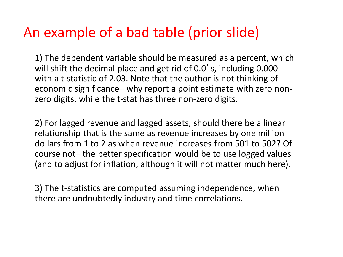### An example of a bad table (prior slide)

1) The dependent variable should be measured as a percent, which will shift the decimal place and get rid of 0.0's, including 0.000 with a t-statistic of 2.03. Note that the author is not thinking of economic significance– why report a point estimate with zero nonzero digits, while the t-stat has three non-zero digits.

2) For lagged revenue and lagged assets, should there be a linear relationship that is the same as revenue increases by one million dollars from 1 to 2 as when revenue increases from 501 to 502? Of course not– the better specification would be to use logged values (and to adjust for inflation, although it will not matter much here).

3) The t-statistics are computed assuming independence, when there are undoubtedly industry and time correlations.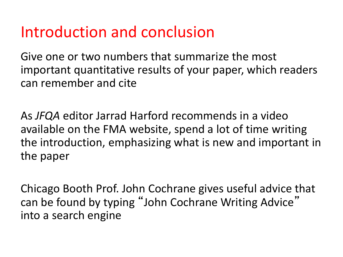## Introduction and conclusion

Give one or two numbers that summarize the most important quantitative results of your paper, which readers can remember and cite

As *JFQA* editor Jarrad Harford recommends in a video available on the FMA website, spend a lot of time writing the introduction, emphasizing what is new and important in the paper

Chicago Booth Prof. John Cochrane gives useful advice that can be found by typing "John Cochrane Writing Advice" into a search engine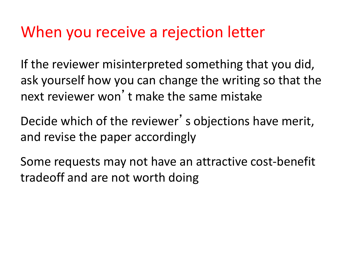## When you receive a rejection letter

If the reviewer misinterpreted something that you did, ask yourself how you can change the writing so that the next reviewer won't make the same mistake

Decide which of the reviewer's objections have merit, and revise the paper accordingly

Some requests may not have an attractive cost-benefit tradeoff and are not worth doing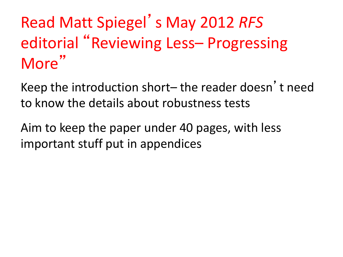# Read Matt Spiegel's May 2012 *RFS*  editorial "Reviewing Less– Progressing More"

Keep the introduction short– the reader doesn't need to know the details about robustness tests

Aim to keep the paper under 40 pages, with less important stuff put in appendices